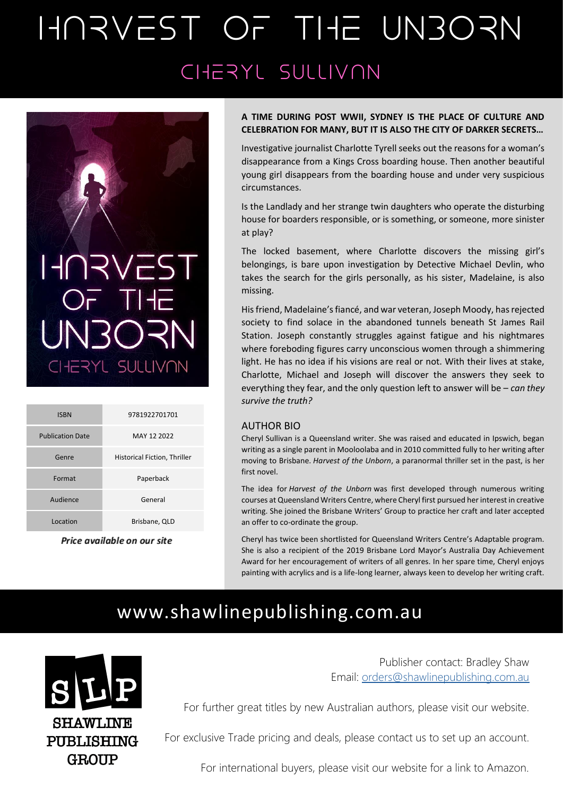# HARVEST OF THE UNBORN CHERYL SULLIVAN



| <b>ISBN</b>             | 9781922701701                |
|-------------------------|------------------------------|
| <b>Publication Date</b> | MAY 12 2022                  |
| Genre                   | Historical Fiction, Thriller |
| Format                  | Paperback                    |
| Audience                | General                      |
| Location                | Brisbane, QLD                |
|                         |                              |

#### Price available on our site

### **A TIME DURING POST WWII, SYDNEY IS THE PLACE OF CULTURE AND CELEBRATION FOR MANY, BUT IT IS ALSO THE CITY OF DARKER SECRETS…**

Investigative journalist Charlotte Tyrell seeks out the reasons for a woman's disappearance from a Kings Cross boarding house. Then another beautiful young girl disappears from the boarding house and under very suspicious circumstances.

Is the Landlady and her strange twin daughters who operate the disturbing house for boarders responsible, or is something, or someone, more sinister at play?

The locked basement, where Charlotte discovers the missing girl's belongings, is bare upon investigation by Detective Michael Devlin, who takes the search for the girls personally, as his sister, Madelaine, is also missing.

His friend, Madelaine's fiancé, and war veteran, Joseph Moody, has rejected society to find solace in the abandoned tunnels beneath St James Rail Station. Joseph constantly struggles against fatigue and his nightmares where foreboding figures carry unconscious women through a shimmering light. He has no idea if his visions are real or not. With their lives at stake, Charlotte, Michael and Joseph will discover the answers they seek to everything they fear, and the only question left to answer will be – *can they survive the truth?*

#### AUTHOR BIO

Cheryl Sullivan is a Queensland writer. She was raised and educated in Ipswich, began writing as a single parent in Mooloolaba and in 2010 committed fully to her writing after moving to Brisbane. *Harvest of the Unborn*, a paranormal thriller set in the past, is her first novel.

The idea for *Harvest of the Unborn* was first developed through numerous writing courses at Queensland Writers Centre, where Cheryl first pursued her interest in creative writing. She joined the Brisbane Writers' Group to practice her craft and later accepted an offer to co-ordinate the group.

Cheryl has twice been shortlisted for Queensland Writers Centre's Adaptable program. She is also a recipient of the 2019 Brisbane Lord Mayor's Australia Day Achievement Award for her encouragement of writers of all genres. In her spare time, Cheryl enjoys painting with acrylics and is a life-long learner, always keen to develop her writing craft.

## [www.shawlinepublishing.com.au](http://www.shawlinepublishing.com.au/)



Publisher contact: Bradley Shaw Email: [orders@shawlinepublishing.com.au](mailto:orders@shawlinepublishing.com.au)

For further great titles by new Australian authors, please visit our website.

For exclusive Trade pricing and deals, please contact us to set up an account.

For international buyers, please visit our website for a link to Amazon.